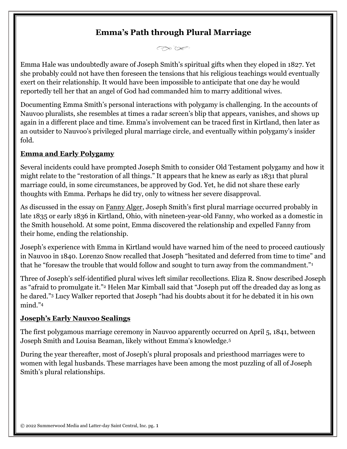# **Emma's Path through Plural Marriage**

 $\bigcirc \mathcal{C} \times \mathcal{C} \times \mathcal{C}$ 

Emma Hale was undoubtedly aware of Joseph Smith's spiritual gifts when they eloped in 1827. Yet she probably could not have then foreseen the tensions that his religious teachings would eventually exert on their relationship. It would have been impossible to anticipate that one day he would reportedly tell her that an angel of God had commanded him to marry additional wives.

Documenting Emma Smith's personal interactions with polygamy is challenging. In the accounts of Nauvoo pluralists, she resembles at times a radar screen's blip that appears, vanishes, and shows up again in a different place and time. Emma's involvement can be traced first in Kirtland, then later as an outsider to Nauvoo's privileged plural marriage circle, and eventually within polygamy's insider fold.

### **Emma and Early Polygamy**

Several incidents could have prompted Joseph Smith to consider Old Testament polygamy and how it might relate to the "restoration of all things." It appears that he knew as early as 1831 that plural marriage could, in some circumstances, be approved by God. Yet, he did not share these early thoughts with Emma. Perhaps he did try, only to witness her severe disapproval.

As discussed in the essay on [Fanny](http://josephsmithspolygamy.org/common-questions/fanny-alger/) Alger, Joseph Smith's first plural marriage occurred probably in late 1835 or early 1836 in Kirtland, Ohio, with nineteen-year-old Fanny, who worked as a domestic in the Smith household. At some point, Emma discovered the relationship and expelled Fanny from their home, ending the relationship.

Joseph's experience with Emma in Kirtland would have warned him of the need to proceed cautiously in Nauvoo in 1840. Lorenzo Snow recalled that Joseph "hesitated and deferred from time to time" and that he "foresaw the trouble that would follow and sought to turn away from the commandment."[1](http://josephsmithspolygamy.org/common-questions/emma-smith-plural-marriage/#link_ajs-fn-id_1-84)

Three of Joseph's self-identified plural wives left similar recollections. Eliza R. Snow described Joseph as "afraid to promulgate it."[2](http://josephsmithspolygamy.org/common-questions/emma-smith-plural-marriage/#link_ajs-fn-id_2-84) Helen Mar Kimball said that "Joseph put off the dreaded day as long as he dared."[3](http://josephsmithspolygamy.org/common-questions/emma-smith-plural-marriage/#link_ajs-fn-id_3-84) Lucy Walker reported that Joseph "had his doubts about it for he debated it in his own mind."[4](http://josephsmithspolygamy.org/common-questions/emma-smith-plural-marriage/#link_ajs-fn-id_4-84)

#### **Joseph's Early Nauvoo Sealings**

The first polygamous marriage ceremony in Nauvoo apparently occurred on April 5, 1841, between Joseph Smith and Louisa Beaman, likely without Emma's knowledge.[5](http://josephsmithspolygamy.org/common-questions/emma-smith-plural-marriage/#link_ajs-fn-id_5-84)

During the year thereafter, most of Joseph's plural proposals and priesthood marriages were to women with legal husbands. These marriages have been among the most puzzling of all of Joseph Smith's plural relationships.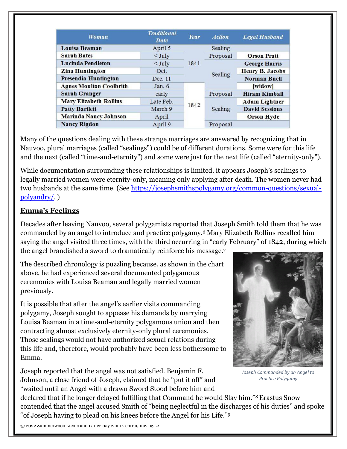| Woman                          | <b>Traditional</b><br>Date | Year | <b>Action</b> | <b>Legal Husband</b>   |
|--------------------------------|----------------------------|------|---------------|------------------------|
| <b>Louisa Beaman</b>           | April 5                    | 1841 | Sealing       |                        |
| <b>Sarah Bates</b>             | $<$ July                   |      | Proposal      | <b>Orson Pratt</b>     |
| <b>Lucinda Pendleton</b>       | $<$ July                   |      | Sealing       | <b>George Harris</b>   |
| <b>Zina Huntington</b>         | Oct.                       |      |               | <b>Henry B. Jacobs</b> |
| Presendia Huntington           | Dec. 11                    |      |               | <b>Norman Buell</b>    |
| <b>Agnes Moulton Coolbrith</b> | Jan. $6$                   | 1842 |               | [widow]                |
| <b>Sarah Granger</b>           | early                      |      | Proposal      | <b>Hiram Kimball</b>   |
| <b>Mary Elizabeth Rollins</b>  | Late Feb.                  |      | Sealing       | <b>Adam Lightner</b>   |
| <b>Patty Bartlett</b>          | March 9                    |      |               | <b>David Sessions</b>  |
| Marinda Nancy Johnson          | April                      |      |               | <b>Orson Hyde</b>      |
| <b>Nancy Rigdon</b>            | April 9                    |      | Proposal      |                        |

Many of the questions dealing with these strange marriages are answered by recognizing that in Nauvoo, plural marriages (called "sealings") could be of different durations. Some were for this life and the next (called "time-and-eternity") and some were just for the next life (called "eternity-only").

While documentation surrounding these relationships is limited, it appears Joseph's sealings to legally married women were eternity-only, meaning only applying after death. The women never had two husbands at the same time. (See [https://josephsmithspolygamy.org/common-questions/sexual](https://josephsmithspolygamy.org/common-questions/sexual-polyandry/)[polyandry/.](https://josephsmithspolygamy.org/common-questions/sexual-polyandry/) )

#### **Emma's Feelings**

Decades after leaving Nauvoo, several polygamists reported that Joseph Smith told them that he was commanded by an angel to introduce and practice polygamy.[6](http://josephsmithspolygamy.org/common-questions/emma-smith-plural-marriage/#link_ajs-fn-id_6-84) Mary Elizabeth Rollins recalled him saying the angel visited three times, with the third occurring in "early February" of 1842, during which the angel brandished a sword to dramatically reinforce his message.[7](http://josephsmithspolygamy.org/common-questions/emma-smith-plural-marriage/#link_ajs-fn-id_7-84)

The described chronology is puzzling because, as shown in the chart above, he had experienced several documented polygamous ceremonies with Louisa Beaman and legally married women previously.

It is possible that after the angel's earlier visits commanding polygamy, Joseph sought to appease his demands by marrying Louisa Beaman in a time-and-eternity polygamous union and then contracting almost exclusively eternity-only plural ceremonies. Those sealings would not have authorized sexual relations during this life and, therefore, would probably have been less bothersome to Emma.

Joseph reported that the angel was not satisfied. Benjamin F. Johnson, a close friend of Joseph, claimed that he "put it off" and "waited until an Angel with a drawn Sword Stood before him and



*Joseph Commanded by an Angel to Practice Polygamy*

declared that if he longer delayed fulfilling that Command he would Slay him."<sup>[8](http://josephsmithspolygamy.org/common-questions/emma-smith-plural-marriage/#link_ajs-fn-id_8-84)</sup> Erastus Snow contended that the angel accused Smith of "being neglectful in the discharges of his duties" and spoke "of Joseph having to plead on his knees before the Angel for his Life."[9](http://josephsmithspolygamy.org/common-questions/emma-smith-plural-marriage/#link_ajs-fn-id_9-84)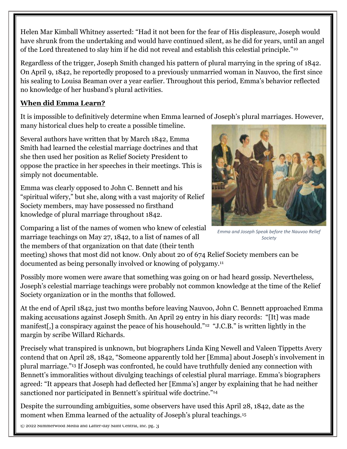Helen Mar Kimball Whitney asserted: "Had it not been for the fear of His displeasure, Joseph would have shrunk from the undertaking and would have continued silent, as he did for years, until an angel of the Lord threatened to slay him if he did not reveal and establish this celestial principle."[10](http://josephsmithspolygamy.org/common-questions/emma-smith-plural-marriage/#link_ajs-fn-id_10-84)

Regardless of the trigger, Joseph Smith changed his pattern of plural marrying in the spring of 1842. On April 9, 1842, he reportedly proposed to a previously unmarried woman in Nauvoo, the first since his sealing to Louisa Beaman over a year earlier. Throughout this period, Emma's behavior reflected no knowledge of her husband's plural activities.

## **When did Emma Learn?**

It is impossible to definitively determine when Emma learned of Joseph's plural marriages. However, many historical clues help to create a possible timeline.

Several authors have written that by March 1842, Emma Smith had learned the celestial marriage doctrines and that she then used her position as Relief Society President to oppose the practice in her speeches in their meetings. This is simply not documentable.

Emma was clearly opposed to John C. Bennett and his "spiritual wifery," but she, along with a vast majority of Relief Society members, may have possessed no firsthand knowledge of plural marriage throughout 1842.



*Emma and Joseph Speak before the Nauvoo Relief Society*

Comparing a list of the names of women who knew of celestial marriage teachings on May 27, 1842, to a list of names of all the members of that organization on that date (their tenth

meeting) shows that most did not know. Only about 20 of 674 Relief Society members can be documented as being personally involved or knowing of polygamy.[11](http://josephsmithspolygamy.org/common-questions/emma-smith-plural-marriage/#link_ajs-fn-id_11-84)

Possibly more women were aware that something was going on or had heard gossip. Nevertheless, Joseph's celestial marriage teachings were probably not common knowledge at the time of the Relief Society organization or in the months that followed.

At the end of April 1842, just two months before leaving Nauvoo, John C. Bennett approached Emma making accusations against Joseph Smith. An April 29 entry in his diary records: "[It] was made manifest[,] a conspiracy against the peace of his househould."[12](http://josephsmithspolygamy.org/common-questions/emma-smith-plural-marriage/#link_ajs-fn-id_12-84) "J.C.B." is written lightly in the margin by scribe Willard Richards.

Precisely what transpired is unknown, but biographers Linda King Newell and Valeen Tippetts Avery contend that on April 28, 1842, "Someone apparently told her [Emma] about Joseph's involvement in plural marriage."[13](http://josephsmithspolygamy.org/common-questions/emma-smith-plural-marriage/#link_ajs-fn-id_13-84) If Joseph was confronted, he could have truthfully denied any connection with Bennett's immoralities without divulging teachings of celestial plural marriage. Emma's biographers agreed: "It appears that Joseph had deflected her [Emma's] anger by explaining that he had neither sanctioned nor participated in Bennett's spiritual wife doctrine."<sup>[14](http://josephsmithspolygamy.org/common-questions/emma-smith-plural-marriage/#link_ajs-fn-id_14-84)</sup>

Despite the surrounding ambiguities, some observers have used this April 28, 1842, date as the moment when Emma learned of the actuality of Joseph's plural teachings.[15](http://josephsmithspolygamy.org/common-questions/emma-smith-plural-marriage/#link_ajs-fn-id_15-84)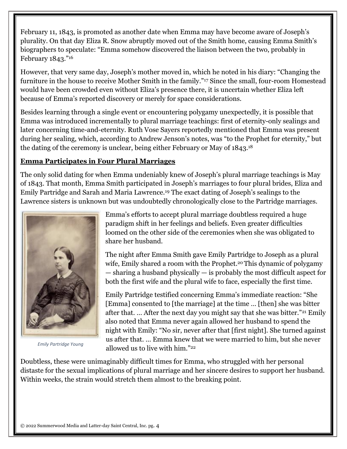February 11, 1843, is promoted as another date when Emma may have become aware of Joseph's plurality. On that day Eliza R. Snow abruptly moved out of the Smith home, causing Emma Smith's biographers to speculate: "Emma somehow discovered the liaison between the two, probably in February 1843."[16](http://josephsmithspolygamy.org/common-questions/emma-smith-plural-marriage/#link_ajs-fn-id_16-84)

However, that very same day, Joseph's mother moved in, which he noted in his diary: "Changing the furniture in the house to receive Mother Smith in the family."[17](http://josephsmithspolygamy.org/common-questions/emma-smith-plural-marriage/#link_ajs-fn-id_17-84) Since the small, four-room Homestead would have been crowded even without Eliza's presence there, it is uncertain whether Eliza left because of Emma's reported discovery or merely for space considerations.

Besides learning through a single event or encountering polygamy unexpectedly, it is possible that Emma was introduced incrementally to plural marriage teachings: first of eternity-only sealings and later concerning time-and-eternity. Ruth Vose Sayers reportedly mentioned that Emma was present during her sealing, which, according to Andrew Jenson's notes, was "to the Prophet for eternity," but the dating of the ceremony is unclear, being either February or May of 1843.[18](http://josephsmithspolygamy.org/common-questions/emma-smith-plural-marriage/#link_ajs-fn-id_18-84)

### **Emma Participates in Four Plural Marriages**

The only solid dating for when Emma undeniably knew of Joseph's plural marriage teachings is May of 1843. That month, Emma Smith participated in Joseph's marriages to four plural brides, Eliza and Emily Partridge and Sarah and Maria Lawrence.[19](http://josephsmithspolygamy.org/common-questions/emma-smith-plural-marriage/#link_ajs-fn-id_19-84) The exact dating of Joseph's sealings to the Lawrence sisters is unknown but was undoubtedly chronologically close to the Partridge marriages.



*Emily Partridge Young*

Emma's efforts to accept plural marriage doubtless required a huge paradigm shift in her feelings and beliefs. Even greater difficulties loomed on the other side of the ceremonies when she was obligated to share her husband.

The night after Emma Smith gave Emily Partridge to Joseph as a plural wife, Emily shared a room with the Prophet.<sup>[20](http://josephsmithspolygamy.org/common-questions/emma-smith-plural-marriage/#link_ajs-fn-id_20-84)</sup> This dynamic of polygamy — sharing a husband physically — is probably the most difficult aspect for both the first wife and the plural wife to face, especially the first time.

Emily Partridge testified concerning Emma's immediate reaction: "She [Emma] consented to [the marriage] at the time … [then] she was bitter after that. … After the next day you might say that she was bitter."[21](http://josephsmithspolygamy.org/common-questions/emma-smith-plural-marriage/#link_ajs-fn-id_21-84) Emily also noted that Emma never again allowed her husband to spend the night with Emily: "No sir, never after that [first night]. She turned against us after that. … Emma knew that we were married to him, but she never allowed us to live with him."[22](http://josephsmithspolygamy.org/common-questions/emma-smith-plural-marriage/#link_ajs-fn-id_22-84)

Doubtless, these were unimaginably difficult times for Emma, who struggled with her personal distaste for the sexual implications of plural marriage and her sincere desires to support her husband. Within weeks, the strain would stretch them almost to the breaking point.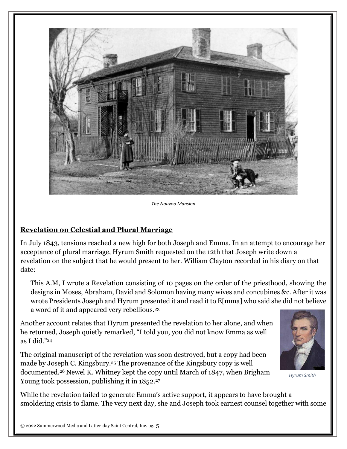

*The Nauvoo Mansion*

#### **Revelation on Celestial and Plural Marriage**

In July 1843, tensions reached a new high for both Joseph and Emma. In an attempt to encourage her acceptance of plural marriage, Hyrum Smith requested on the 12th that Joseph write down a revelation on the subject that he would present to her. William Clayton recorded in his diary on that date:

This A.M, I wrote a Revelation consisting of 10 pages on the order of the priesthood, showing the designs in Moses, Abraham, David and Solomon having many wives and concubines &c. After it was wrote Presidents Joseph and Hyrum presented it and read it to E[mma] who said she did not believe a word of it and appeared very rebellious.[23](http://josephsmithspolygamy.org/common-questions/emma-smith-plural-marriage/#link_ajs-fn-id_23-84)

Another account relates that Hyrum presented the revelation to her alone, and when he returned, Joseph quietly remarked, "I told you, you did not know Emma as well as I did."[24](http://josephsmithspolygamy.org/common-questions/emma-smith-plural-marriage/#link_ajs-fn-id_24-84)

The original manuscript of the revelation was soon destroyed, but a copy had been made by Joseph C. Kingsbury.[25](http://josephsmithspolygamy.org/common-questions/emma-smith-plural-marriage/#link_ajs-fn-id_25-84) The provenance of the Kingsbury copy is well documented.[26](http://josephsmithspolygamy.org/common-questions/emma-smith-plural-marriage/#link_ajs-fn-id_26-84) Newel K. Whitney kept the copy until March of 1847, when Brigham Young took possession, publishing it in 1852.<sup>[27](http://josephsmithspolygamy.org/common-questions/emma-smith-plural-marriage/#link_ajs-fn-id_27-84)</sup>



*Hyrum Smith*

While the revelation failed to generate Emma's active support, it appears to have brought a smoldering crisis to flame. The very next day, she and Joseph took earnest counsel together with some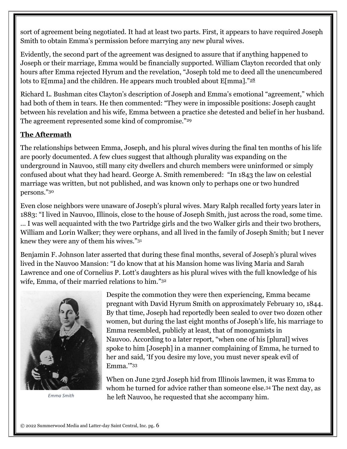sort of agreement being negotiated. It had at least two parts. First, it appears to have required Joseph Smith to obtain Emma's permission before marrying any new plural wives.

Evidently, the second part of the agreement was designed to assure that if anything happened to Joseph or their marriage, Emma would be financially supported. William Clayton recorded that only hours after Emma rejected Hyrum and the revelation, "Joseph told me to deed all the unencumbered lots to E[mma] and the children. He appears much troubled about E[mma]." $^{28}$  $^{28}$  $^{28}$ 

Richard L. Bushman cites Clayton's description of Joseph and Emma's emotional "agreement," which had both of them in tears. He then commented: "They were in impossible positions: Joseph caught between his revelation and his wife, Emma between a practice she detested and belief in her husband. The agreement represented some kind of compromise."[29](http://josephsmithspolygamy.org/common-questions/emma-smith-plural-marriage/#link_ajs-fn-id_29-84)

#### **The Aftermath**

The relationships between Emma, Joseph, and his plural wives during the final ten months of his life are poorly documented. A few clues suggest that although plurality was expanding on the underground in Nauvoo, still many city dwellers and church members were uninformed or simply confused about what they had heard. George A. Smith remembered: "In 1843 the law on celestial marriage was written, but not published, and was known only to perhaps one or two hundred persons."[30](http://josephsmithspolygamy.org/common-questions/emma-smith-plural-marriage/#link_ajs-fn-id_30-84)

Even close neighbors were unaware of Joseph's plural wives. Mary Ralph recalled forty years later in 1883: "I lived in Nauvoo, Illinois, close to the house of Joseph Smith, just across the road, some time. … I was well acquainted with the two Partridge girls and the two Walker girls and their two brothers, William and Lorin Walker; they were orphans, and all lived in the family of Joseph Smith; but I never knew they were any of them his wives."[31](http://josephsmithspolygamy.org/common-questions/emma-smith-plural-marriage/#link_ajs-fn-id_31-84)

Benjamin F. Johnson later asserted that during these final months, several of Joseph's plural wives lived in the Nauvoo Mansion: "I do know that at his Mansion home was living Maria and Sarah Lawrence and one of Cornelius P. Lott's daughters as his plural wives with the full knowledge of his wife, Emma, of their married relations to him."[32](http://josephsmithspolygamy.org/common-questions/emma-smith-plural-marriage/#link_ajs-fn-id_32-84)



Despite the commotion they were then experiencing, Emma became pregnant with David Hyrum Smith on approximately February 10, 1844. By that time, Joseph had reportedly been sealed to over two dozen other women, but during the last eight months of Joseph's life, his marriage to Emma resembled, publicly at least, that of monogamists in Nauvoo. According to a later report, "when one of his [plural] wives spoke to him [Joseph] in a manner complaining of Emma, he turned to her and said, 'If you desire my love, you must never speak evil of Emma.'"[33](http://josephsmithspolygamy.org/common-questions/emma-smith-plural-marriage/#link_ajs-fn-id_33-84)

When on June 23rd Joseph hid from Illinois lawmen, it was Emma to whom he turned for advice rather than someone else.[34](http://josephsmithspolygamy.org/common-questions/emma-smith-plural-marriage/#link_ajs-fn-id_34-84) The next day, as he left Nauvoo, he requested that she accompany him. *Emma Smith*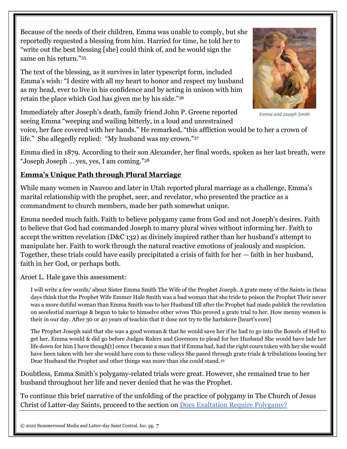Because of the needs of their children, Emma was unable to comply, but she reportedly requested a blessing from him. Harried for time, he told her to "write out the best blessing [she] could think of, and he would sign the same on his return."[35](http://josephsmithspolygamy.org/common-questions/emma-smith-plural-marriage/#link_ajs-fn-id_35-84)

The text of the blessing, as it survives in later typescript form, included Emma's wish: "I desire with all my heart to honor and respect my husband as my head, ever to live in his confidence and by acting in unison with him retain the place which God has given me by his side."[36](http://josephsmithspolygamy.org/common-questions/emma-smith-plural-marriage/#link_ajs-fn-id_36-84)

*Emma and Joseph Smith*

Immediately after Joseph's death, family friend John P. Greene reported seeing Emma "weeping and wailing bitterly, in a loud and unrestrained

voice, her face covered with her hands." He remarked, "this affliction would be to her a crown of life." She allegedly replied: "My husband was my crown."[37](http://josephsmithspolygamy.org/common-questions/emma-smith-plural-marriage/#link_ajs-fn-id_37-84)

Emma died in 1879. According to their son Alexander, her final words, spoken as her last breath, were "Joseph Joseph … yes, yes, I am coming."[38](http://josephsmithspolygamy.org/common-questions/emma-smith-plural-marriage/#link_ajs-fn-id_38-84)

## **Emma's Unique Path through Plural Marriage**

While many women in Nauvoo and later in Utah reported plural marriage as a challenge, Emma's marital relationship with the prophet, seer, and revelator, who presented the practice as a commandment to church members, made her path somewhat unique.

Emma needed much faith. Faith to believe polygamy came from God and not Joseph's desires. Faith to believe that God had commanded Joseph to marry plural wives without informing her. Faith to accept the written revelation (D&C 132) as divinely inspired rather than her husband's attempt to manipulate her. Faith to work through the natural reactive emotions of jealously and suspicion. Together, these trials could have easily precipitated a crisis of faith for her — faith in her husband, faith in her God, or perhaps both.

Aroet L. Hale gave this assessment:

I will write a few words/ about Sister Emma Smith The Wife of the Prophet Joseph. A grate meny of the Saints in theas days think that the Prophet Wife Emmer Hale Smith was a bad woman that she tride to poison the Prophet Their never was a more dutiful woman than Emma Smith was to her Husband till after the Prophet had made publick the revelation on secelestial marriage & begun to take to himselve other wives This proved a grate trial to her. How menny women is their in our day. After 30 or 40 years of teachin that it dose not try to the hartskore [heart's core]

The Prophet Joseph said that she was a good woman & that he would save her if he had to go into the Bowels of Hell to get her. Emma would & did go before Judges Rulers and Govenors to plead for her Husband She would have lade her life down for him I have though[t] cence I became a man that if Emma had, had the right cours taken with her she would have been taken with her she would have com to these valleys She pased through grate trials & tribulations loosing her Dear Husband the Prophet and other things was more than she could stand.[39](http://josephsmithspolygamy.org/common-questions/emma-smith-plural-marriage/#link_ajs-fn-id_39-84)

Doubtless, Emma Smith's polygamy-related trials were great. However, she remained true to her husband throughout her life and never denied that he was the Prophet.

To continue this brief narrative of the unfolding of the practice of polygamy in The Church of Jesus Christ of Latter-day Saints, proceed to the section on Does Exaltation Require [Polygamy?](http://josephsmithspolygamy.org/common-questions/polygamy-exaltation/)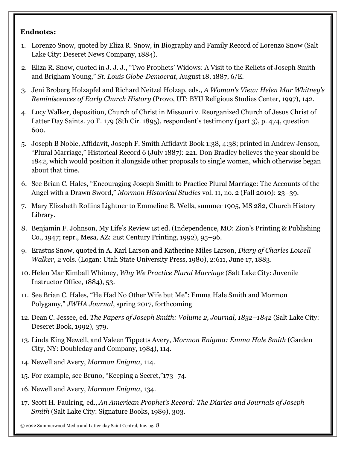#### **Endnotes:**

- 1. Lorenzo Snow, quoted by Eliza R. Snow, in Biography and Family Record of Lorenzo Snow (Salt Lake City: Deseret News Company, 1884).
- 2. Eliza R. Snow, quoted in J. J. J., "Two Prophets' Widows: A Visit to the Relicts of Joseph Smith and Brigham Young," *St. Louis Globe-Democrat*, August 18, 1887, 6/E.
- 3. Jeni Broberg Holzapfel and Richard Neitzel Holzap, eds., *A Woman's View: Helen Mar Whitney's Reminiscences of Early Church History* (Provo, UT: BYU Religious Studies Center, 1997), 142.
- 4. Lucy Walker, deposition, Church of Christ in Missouri v. Reorganized Church of Jesus Christ of Latter Day Saints. 70 F. 179 (8th Cir. 1895), respondent's testimony (part 3), p. 474, question 600.
- 5. Joseph B Noble, Affidavit, Joseph F. Smith Affidavit Book 1:38, 4:38; printed in Andrew Jenson, "Plural Marriage," Historical Record 6 (July 1887): 221. Don Bradley believes the year should be 1842, which would position it alongside other proposals to single women, which otherwise began about that time.
- 6. See Brian C. Hales, "Encouraging Joseph Smith to Practice Plural Marriage: The Accounts of the Angel with a Drawn Sword," *Mormon Historical Studies* vol. 11, no. 2 (Fall 2010): 23–39.
- 7. Mary Elizabeth Rollins Lightner to Emmeline B. Wells, summer 1905, MS 282, Church History Library.
- 8. Benjamin F. Johnson, My Life's Review 1st ed. (Independence, MO: Zion's Printing & Publishing Co., 1947; repr., Mesa, AZ: 21st Century Printing, 1992), 95–96.
- 9. Erastus Snow, quoted in A. Karl Larson and Katherine Miles Larson, *Diary of Charles Lowell Walker*, 2 vols. (Logan: Utah State University Press, 1980), 2:611, June 17, 1883.
- 10. Helen Mar Kimball Whitney, *Why We Practice Plural Marriage* (Salt Lake City: Juvenile Instructor Office, 1884), 53.
- 11. See Brian C. Hales, "He Had No Other Wife but Me": Emma Hale Smith and Mormon Polygamy," *JWHA Journal*, spring 2017, forthcoming
- 12. Dean C. Jessee, ed. *The Papers of Joseph Smith: Volume 2, Journal, 1832–1842* (Salt Lake City: Deseret Book, 1992), 379.
- 13. Linda King Newell, and Valeen Tippetts Avery, *Mormon Enigma: Emma Hale Smith* (Garden City, NY: Doubleday and Company, 1984), 114.
- 14. Newell and Avery, *Mormon Enigma*, 114.
- 15. For example, see Bruno, "Keeping a Secret,"173–74.
- 16. Newell and Avery, *Mormon Enigma*, 134.
- 17. Scott H. Faulring, ed., *An American Prophet's Record: The Diaries and Journals of Joseph Smith* (Salt Lake City: Signature Books, 1989), 303.